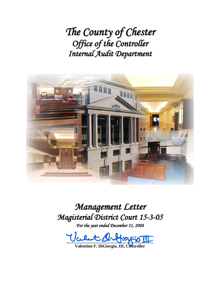*The County of Chester Office of the Controller Internal Audit Department*



*Management Letter Magisterial District Court 15-3-05*

*For the year ended December 31, 2008*

**\_\_\_\_\_\_\_\_\_\_\_\_\_\_\_\_\_\_\_\_\_\_\_\_\_\_\_\_\_\_\_\_\_\_\_\_\_\_\_\_\_** 

**Valentino F. DiGiorgio, III, Controller**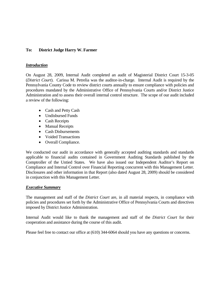### **To: District Judge Harry W. Farmer**

#### *Introduction*

On August 28, 2009, Internal Audit completed an audit of Magisterial District Court 15-3-05 (*District Court*). Carissa M. Petrelia was the auditor-in-charge. Internal Audit is required by the Pennsylvania County Code to review district courts annually to ensure compliance with policies and procedures mandated by the Administrative Office of Pennsylvania Courts and/or District Justice Administration and to assess their overall internal control structure. The scope of our audit included a review of the following:

- Cash and Petty Cash
- **Undisbursed Funds**
- Cash Receipts
- Manual Receipts
- Cash Disbursements
- Voided Transactions
- Overall Compliance.

We conducted our audit in accordance with generally accepted auditing standards and standards applicable to financial audits contained in Government Auditing Standards published by the Comptroller of the Untied States. We have also issued our Independent Auditor's Report on Compliance and Internal Control over Financial Reporting concurrent with this Management Letter. Disclosures and other information in that Report (also dated August 28, 2009) should be considered in conjunction with this Management Letter.

#### *Executive Summary*

The management and staff of the *District Court* are, in all material respects, in compliance with policies and procedures set forth by the Administrative Office of Pennsylvania Courts and directives imposed by District Justice Administration.

Internal Audit would like to thank the management and staff of the *District Court* for their cooperation and assistance during the course of this audit.

Please feel free to contact our office at (610) 344-6064 should you have any questions or concerns.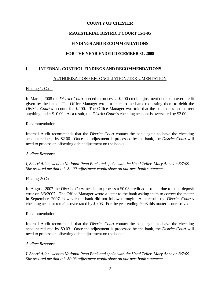### **COUNTY OF CHESTER**

## **MAGISTERIAL DISTRICT COURT 15-3-05**

# **FINDINGS AND RECOMMENDATIONS**

# **FOR THE YEAR ENDED DECEMBER 31, 2008**

## **I. INTERNAL CONTROL FINDINGS AND RECOMMENDATIONS**

## AUTHORIZATION / RECONCILIATION / DOCUMENTATION

### Finding 1: Cash

In March, 2008 the *District Court* needed to process a \$2.00 credit adjustment due to an over credit given by the bank. The Office Manager wrote a letter to the bank requesting them to debit the *District Court's* account for \$2.00. The Office Manager was told that the bank does not correct anything under \$10.00. As a result, the *District Court's* checking account is overstated by \$2.00.

#### Recommendation

Internal Audit recommends that the *District Court* contact the bank again to have the checking account reduced by \$2.00. Once the adjustment is processed by the bank, the *District Court* will need to process an offsetting debit adjustment on the books.

#### *Auditee Response*

*I, Sherri Allen, went to National Penn Bank and spoke with the Head Teller, Mary Anne on 8/7/09. She assured me that this \$2.00 adjustment would show on our next bank statement.* 

#### Finding 2: Cash

In August, 2007 the *District Court* needed to process a \$0.03 credit adjustment due to bank deposit error on 8/3/2007. The Office Manager wrote a letter to the bank asking them to correct the matter in September, 2007, however the bank did not follow through. As a result, the *District Court's* checking account remains overstated by \$0.03. For the year ending 2008 this matter is unresolved.

#### Recommendation

Internal Audit recommends that the *District Court* contact the bank again to have the checking account reduced by \$0.03. Once the adjustment is processed by the bank, the *District Court* will need to process an offsetting debit adjustment on the books.

#### *Auditee Response*

*I, Sherri Allen, went to National Penn Bank and spoke with the Head Teller, Mary Anne on 8/7/09. She assured me that this \$0.03 adjustment would show on our next bank statement.*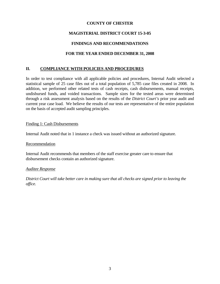### **COUNTY OF CHESTER**

## **MAGISTERIAL DISTRICT COURT 15-3-05**

## **FINDINGS AND RECOMMENDATIONS**

## **FOR THE YEAR ENDED DECEMBER 31, 2008**

# **II. COMPLIANCE WITH POLICIES AND PROCEDURES**

In order to test compliance with all applicable policies and procedures, Internal Audit selected a statistical sample of 25 case files out of a total population of 5,785 case files created in 2008. In addition, we performed other related tests of cash receipts, cash disbursements, manual receipts, undisbursed funds, and voided transactions. Sample sizes for the tested areas were determined through a risk assessment analysis based on the results of the *District Court's* prior year audit and current year case load. We believe the results of our tests are representative of the entire population on the basis of accepted audit sampling principles.

#### Finding 1: Cash Disbursements

Internal Audit noted that in 1 instance a check was issued without an authorized signature.

#### **Recommendation**

Internal Audit recommends that members of the staff exercise greater care to ensure that disbursement checks contain an authorized signature.

#### *Auditee Response*

*District Court will take better care in making sure that all checks are signed prior to leaving the office.*